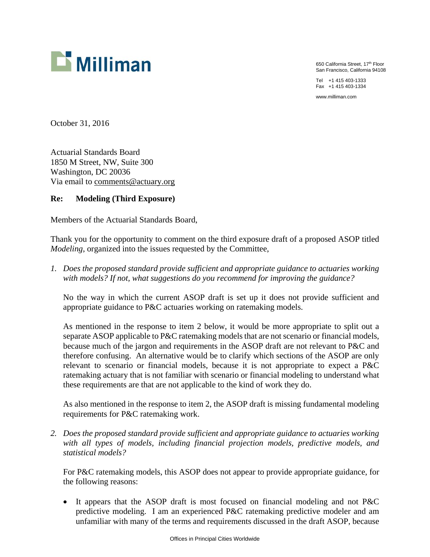

650 California Street, 17th Floor San Francisco, California 94108

Tel +1 415 403-1333 Fax +1 415 403-1334

www.milliman.com

October 31, 2016

Actuarial Standards Board 1850 M Street, NW, Suite 300 Washington, DC 20036 Via email to comments@actuary.org

## **Re: Modeling (Third Exposure)**

Members of the Actuarial Standards Board,

Thank you for the opportunity to comment on the third exposure draft of a proposed ASOP titled *Modeling*, organized into the issues requested by the Committee,

*1. Does the proposed standard provide sufficient and appropriate guidance to actuaries working with models? If not, what suggestions do you recommend for improving the guidance?* 

No the way in which the current ASOP draft is set up it does not provide sufficient and appropriate guidance to P&C actuaries working on ratemaking models.

As mentioned in the response to item 2 below, it would be more appropriate to split out a separate ASOP applicable to P&C ratemaking models that are not scenario or financial models, because much of the jargon and requirements in the ASOP draft are not relevant to P&C and therefore confusing. An alternative would be to clarify which sections of the ASOP are only relevant to scenario or financial models, because it is not appropriate to expect a P&C ratemaking actuary that is not familiar with scenario or financial modeling to understand what these requirements are that are not applicable to the kind of work they do.

As also mentioned in the response to item 2, the ASOP draft is missing fundamental modeling requirements for P&C ratemaking work.

*2. Does the proposed standard provide sufficient and appropriate guidance to actuaries working with all types of models, including financial projection models, predictive models, and statistical models?* 

For P&C ratemaking models, this ASOP does not appear to provide appropriate guidance, for the following reasons:

 It appears that the ASOP draft is most focused on financial modeling and not P&C predictive modeling. I am an experienced P&C ratemaking predictive modeler and am unfamiliar with many of the terms and requirements discussed in the draft ASOP, because